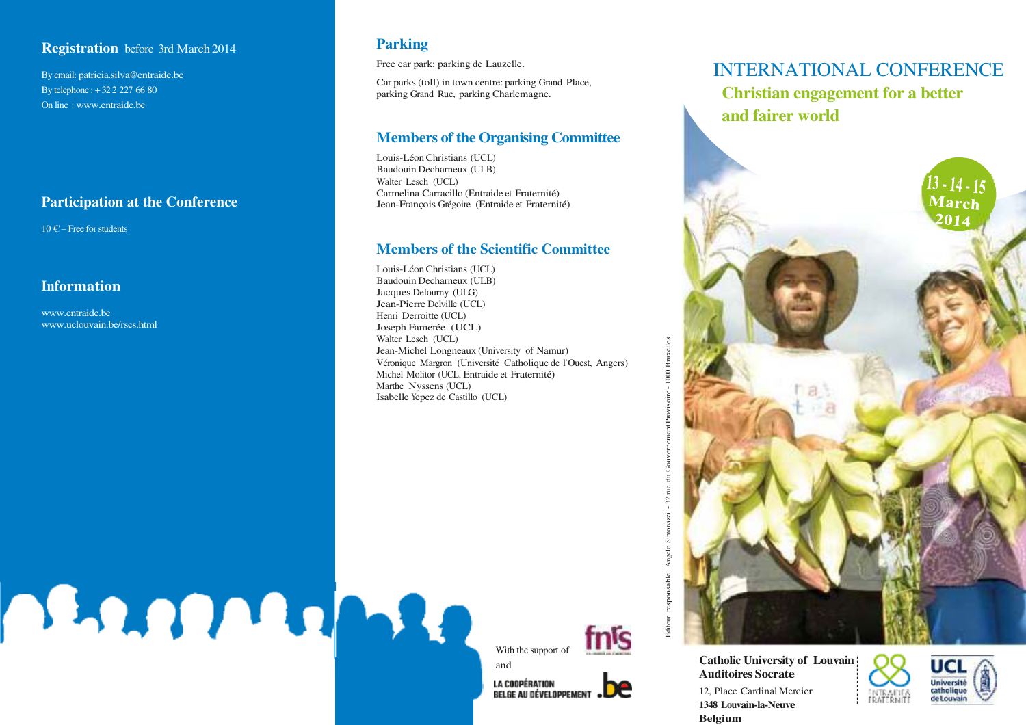## **Registration** before 3rd March 2014

By email: patricia.silva **@**entraide.be By telephone : + 32 2 227 66 80 On line : www.entraide.be

# **Participation at the Conference**

**OBALDOMARA** 

 $10 \in$  – Free for students

# **Information**

www.entraide.be www.uclouvain.be/rscs.html

# **Parking**

Free car park: parking de Lauzelle.

Car parks (toll) in town centre: parking Grand Place, parking Grand Rue, parking Charlemagne.

# **Members of the Organising Committee**

Louis-Léon Christians (UCL) Baudouin Decharneux (ULB) Walter Lesch (UCL) Carmelina Carracillo (Entraide et Fraternité) Jean-François Grégoire (Entraide et Fraternité)

# **Members of the Scientific Committee**

Louis-Léon Christians (UCL) Baudouin Decharneux (ULB) Jacques Defourny (ULG) Jean-Pierre Delville (UCL) Henri Derroitte (UCL) Joseph Famerée (UCL) Walter Lesch (UCL) Jean-Michel Longneaux (University of Namur) Véronique Margron (Université Catholique de l'Ouest, Angers) Michel Molitor (UCL, Entraide et Fraternité) Marthe Nyssens (UCL) Isabelle Yepez de Castillo (UCL)



Editeur responsable : Angelo Simonazzi - 32 rue du Gouvernement Provisoire - 1000 Bruxelles

 $-32$  rue

Angelo<sub>Si</sub>

responsable:

1000 Bruxelles

ent Provisoire

**LA COOPÉRATION BELGE AU DÉVELOPPEMENT** 

# INTERNATIONAL CONFERENCE **Christian engagement for a better and fairer world**



**Auditoires Socrat e Belgium**





12, Place Cardinal Mercier **1348 Louvain-la-Neuve**